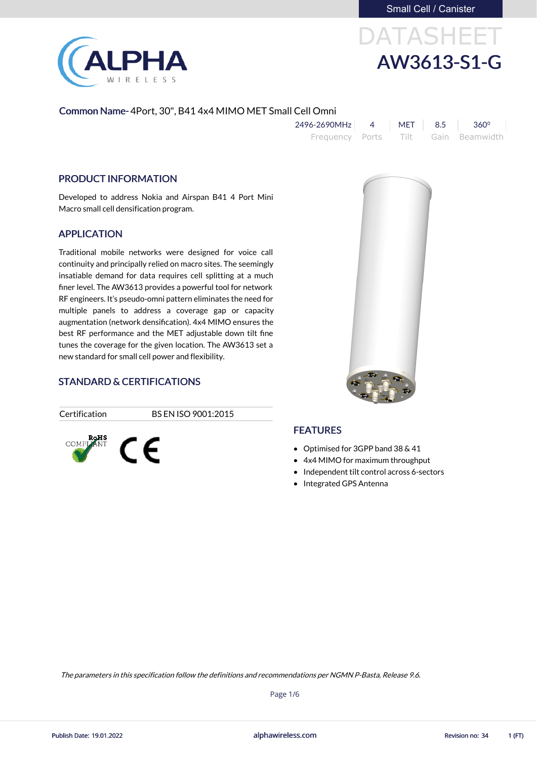

# DATASHEET AW3613-S1-G

### Common Name- 4Port, 30", B41 4x4 MIMO MET Small Cell Omni

| 2496-2690MHz    | MFT                  | 8.5 | $360^{\circ}$  |
|-----------------|----------------------|-----|----------------|
| Frequency Ports | and the filth of the |     | Gain Beamwidth |

### PRODUCT INFORMATION

Developed to address Nokia and Airspan B41 4 Port Mini Macro small cell densification program.

### APPLICATION

Traditional mobile networks were designed for voice call continuity and principally relied on macro sites. The seemingly insatiable demand for data requires cell splitting at a much finer level. The AW3613 provides a powerful tool for network RF engineers. It's pseudo-omni pattern eliminates the need for multiple panels to address a coverage gap or capacity augmentation (network densification). 4x4 MIMO ensures the best RF performance and the MET adjustable down tilt fine tunes the coverage for the given location. The AW3613 set a new standard for small cell power and flexibility.

### STANDARD & CERTIFICATIONS



Certification BS EN ISO 9001:2015



### **FEATURES**

- Optimised for 3GPP band 38 & 41
- 4x4 MIMO for maximum throughput
- Independent tilt control across 6-sectors
- Integrated GPS Antenna

Page 1/6

alphawireless.com Publish Date: 19.01.2022 Revision no: 34 1 (FT)

The parameters in this specification follow the definitions and recommendations per NGMN P-Basta, Release 9.6.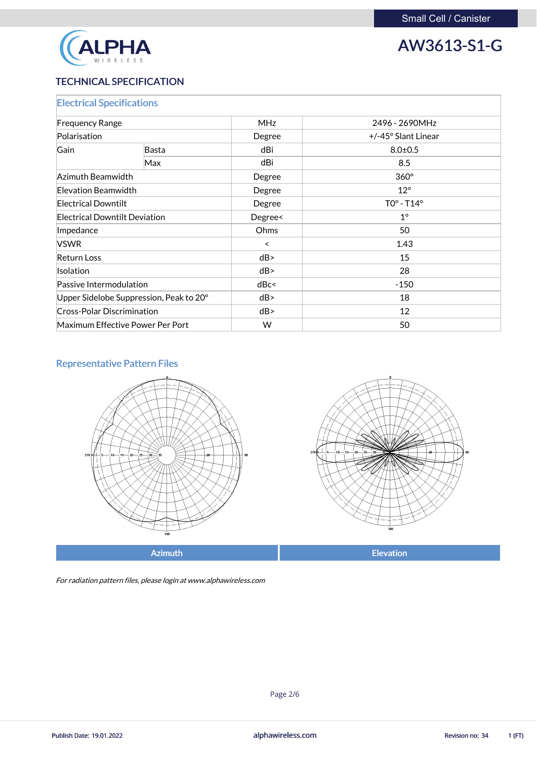

### TECHNICAL SPECIFICATION

| <b>Electrical Specifications</b>        |                                  |            |                     |
|-----------------------------------------|----------------------------------|------------|---------------------|
| <b>Frequency Range</b>                  |                                  | <b>MHz</b> | 2496 - 2690MHz      |
| Polarisation                            |                                  | Degree     | +/-45° Slant Linear |
| Gain                                    | <b>Basta</b>                     | dBi        | $8.0 \pm 0.5$       |
|                                         | Max                              | dBi        | 8.5                 |
| Azimuth Beamwidth                       |                                  | Degree     | $360^\circ$         |
| Elevation Beamwidth                     |                                  | Degree     | $12^{\circ}$        |
| <b>Electrical Downtilt</b>              |                                  | Degree     | $TOo - T14o$        |
| <b>Electrical Downtilt Deviation</b>    |                                  | Degree<    | $1^{\circ}$         |
| Impedance                               |                                  | Ohms       | 50                  |
| <b>VSWR</b>                             |                                  | $\prec$    | 1.43                |
| <b>Return Loss</b>                      |                                  | dB         | 15                  |
| Isolation                               |                                  | dB         | 28                  |
| Passive Intermodulation                 |                                  | dBc<       | $-150$              |
| Upper Sidelobe Suppression, Peak to 20° |                                  | dB         | 18                  |
| <b>Cross-Polar Discrimination</b>       |                                  | dB         | 12                  |
|                                         | Maximum Effective Power Per Port | W          | 50                  |

### Representative Pattern Files





For radiation pattern files, please login at www.alphawireless.com

alphawireless.com

Publish Date: 19.01.2022 **Revision no: 34** 1 (FT)

Page 2/6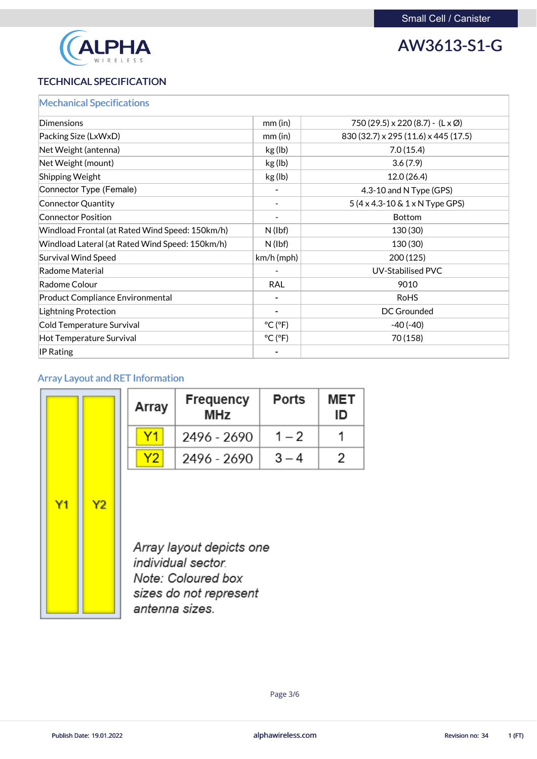

### TECHNICAL SPECIFICATION

| <b>Mechanical Specifications</b>                |                              |                                                 |
|-------------------------------------------------|------------------------------|-------------------------------------------------|
| <b>Dimensions</b>                               | $mm$ (in)                    | 750 (29.5) x 220 (8.7) - $(L \times \emptyset)$ |
| Packing Size (LxWxD)                            | $mm$ (in)                    | 830 (32.7) x 295 (11.6) x 445 (17.5)            |
| Net Weight (antenna)                            | kg (lb)                      | 7.0(15.4)                                       |
| Net Weight (mount)                              | kg (lb)                      | 3.6(7.9)                                        |
| <b>Shipping Weight</b>                          | kg (lb)                      | 12.0(26.4)                                      |
| Connector Type (Female)                         |                              | 4.3-10 and N Type (GPS)                         |
| <b>Connector Quantity</b>                       |                              | $5(4 \times 4.3 - 10 \& 1 \times N$ Type GPS)   |
| <b>Connector Position</b>                       |                              | <b>Bottom</b>                                   |
| Windload Frontal (at Rated Wind Speed: 150km/h) | $N$ (lbf)                    | 130 (30)                                        |
| Windload Lateral (at Rated Wind Speed: 150km/h) | $N$ (lbf)                    | 130 (30)                                        |
| <b>Survival Wind Speed</b>                      | $km/h$ (mph)                 | 200(125)                                        |
| <b>Radome Material</b>                          |                              | <b>UV-Stabilised PVC</b>                        |
| Radome Colour                                   | <b>RAL</b>                   | 9010                                            |
| <b>Product Compliance Environmental</b>         |                              | <b>RoHS</b>                                     |
| <b>Lightning Protection</b>                     |                              | <b>DC Grounded</b>                              |
| <b>Cold Temperature Survival</b>                | $^{\circ}$ C ( $^{\circ}$ F) | $-40(-40)$                                      |
| <b>Hot Temperature Survival</b>                 | $^{\circ}$ C ( $^{\circ}$ F) | 70 (158)                                        |
| <b>IP Rating</b>                                |                              |                                                 |

### Array Layout and RET Information

|    |    | Array | <b>Frequency</b><br><b>MHz</b>                                               | <b>Ports</b> | <b>MET</b><br>ID |
|----|----|-------|------------------------------------------------------------------------------|--------------|------------------|
|    |    | Υ1    | 2496 - 2690                                                                  | $1 - 2$      |                  |
|    |    | Y2    | 2496 - 2690                                                                  | $3 - 4$      | 2                |
| Y1 | Y2 |       | Array layout depicts one<br>individual sector.<br>$\cdots$ $\cdots$ $\cdots$ |              |                  |



Note: Coloured box sizes do not represent antenna sizes.

alphawireless.com

Publish Date: 19.01.2022 **Revision no: 34** 1 (FT)

Page 3/6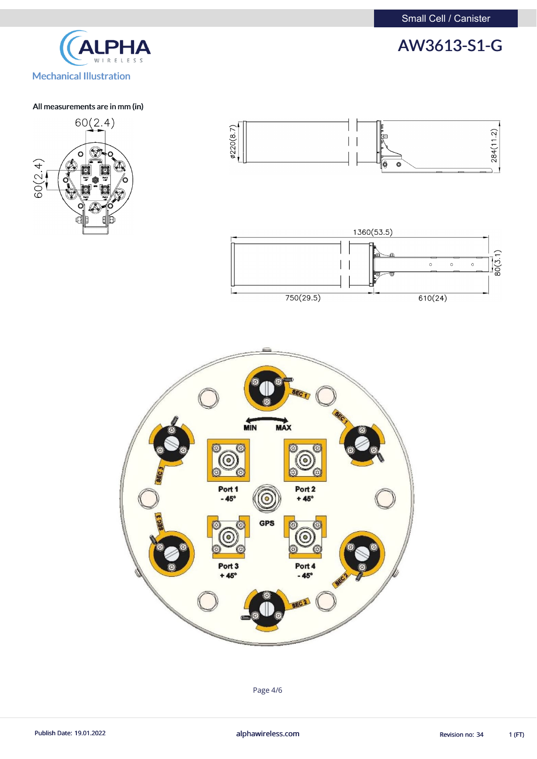

### All measurements are in mm (in)







Page 4/6

Publish Date: 19.01.2022 **alphawireless.com** alphawireless.com Revision no: 34 1 (FT)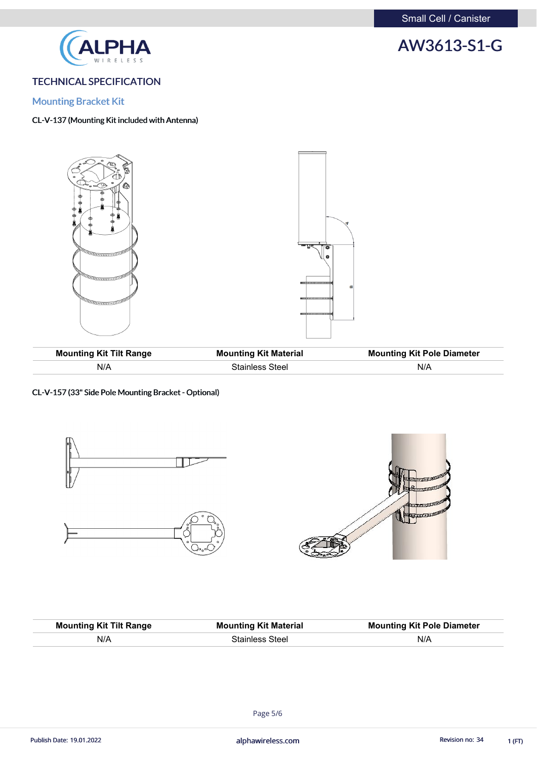

### TECHNICAL SPECIFICATION

### Mounting Bracket Kit

### CL-V-137 (Mounting Kit included with Antenna)





| <b>Mounting Kit Tilt Range</b> | <b>Mounting Kit Material</b> | <b>Mounting Kit Pole Diameter</b> |
|--------------------------------|------------------------------|-----------------------------------|
| N/A                            | Stainless Steel              | N/A                               |

CL-V-157 (33" Side Pole Mounting Bracket - Optional)



| <b>Mounting Kit Tilt Range</b> | <b>Mounting Kit Material</b> | <b>Mounting Kit Pole Diameter</b> |
|--------------------------------|------------------------------|-----------------------------------|
| N/A                            | <b>Stainless Steel</b>       | N/A                               |

Page 5/6